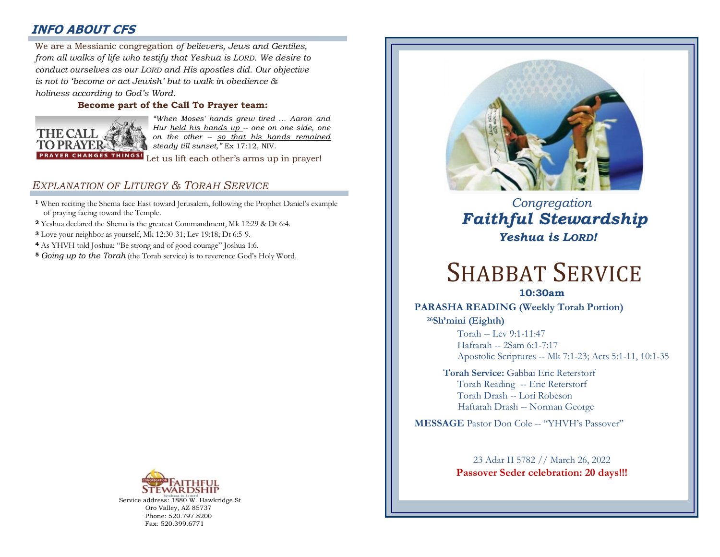# **INFO ABOUT CFS**

: *from all walks of life who testify that Yeshua is LORD. We desire to*  We are a Messianic congregation *of believers, Jews and Gentiles, conduct ourselves as our LORD and His apostles did. Our objective is not to 'become or act Jewish' but to walk in obedience & holiness according to God's Word.* 

## **Become part of the Call To Prayer team:**



*"When Moses' hands grew tired … Aaron and Hur held his hands up -- one on one side, one on the other -- so that his hands remained steady till sunset,"* Ex 17:12, NIV.

Let us lift each other's arms up in prayer!

## *EXPLANATION OF LITURGY & TORAH SERVICE*

- **<sup>1</sup>** When reciting the Shema face East toward Jerusalem, following the Prophet Daniel's example of praying facing toward the Temple.
- **<sup>2</sup>** Yeshua declared the Shema is the greatest Commandment, Mk 12:29 & Dt 6:4.
- **<sup>3</sup>** Love your neighbor as yourself, Mk 12:30-31; Lev 19:18; Dt 6:5-9.
- **<sup>4</sup>** As YHVH told Joshua: "Be strong and of good courage" Joshua 1:6.
- **<sup>5</sup>** *Going up to the Torah* (the Torah service) is to reverence God's Holy Word.



Service address: 1880 W. Hawkridge St Oro Valley, AZ 85737 Phone: 520.797.8200 Fax: 520.399.6771



# *Congregation Faithful Stewardship Yeshua is LORD!*

# SHABBAT SERVICE

## **10:30am**

## **PARASHA READING (Weekly Torah Portion)**

**<sup>26</sup>Sh'mini (Eighth)**  Torah -- Lev 9:1-11:47 Haftarah -- 2Sam 6:1-7:17 Apostolic Scriptures -- Mk 7:1-23; Acts 5:1-11, 10:1-35

## **Torah Service:** Gabbai Eric Reterstorf Torah Reading -- Eric Reterstorf Torah Drash -- Lori Robeson Haftarah Drash -- Norman George

**MESSAGE** Pastor Don Cole -- "YHVH's Passover"

23 Adar II 5782 // March 26, 2022 **Passover Seder celebration: 20 days!!!**